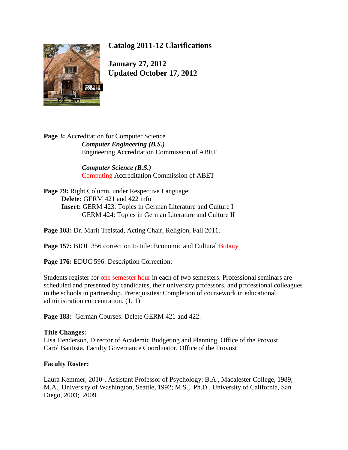

# **Catalog 2011-12 Clarifications**

**January 27, 2012 Updated October 17, 2012**

Page 3: Accreditation for Computer Science *Computer Engineering (B.S.)* Engineering Accreditation Commission of ABET

> *Computer Science (B.S.)* Computing Accreditation Commission of ABET

Page 79: Right Column, under Respective Language: **Delete:** GERM 421 and 422 info **Insert:** GERM 423: Topics in German Literature and Culture I GERM 424: Topics in German Literature and Culture II

**Page 103:** Dr. Marit Trelstad, Acting Chair, Religion, Fall 2011.

**Page 157:** BIOL 356 correction to title: Economic and Cultural Botany

Page 176: EDUC 596: Description Correction:

Students register for one semester hour in each of two semesters. Professional seminars are scheduled and presented by candidates, their university professors, and professional colleagues in the schools in partnership. Prerequisites: Completion of coursework in educational administration concentration. (1, 1)

Page 183: German Courses: Delete GERM 421 and 422.

#### **Title Changes:**

Lisa Henderson, Director of Academic Budgeting and Planning, Office of the Provost Carol Bautista, Faculty Governance Coordinator, Office of the Provost

#### **Faculty Roster:**

Laura Kemmer, 2010-, Assistant Professor of Psychology; B.A., Macalester College, 1989; M.A., University of Washington, Seattle, 1992; M.S., Ph.D., University of California, San Diego, 2003; 2009.